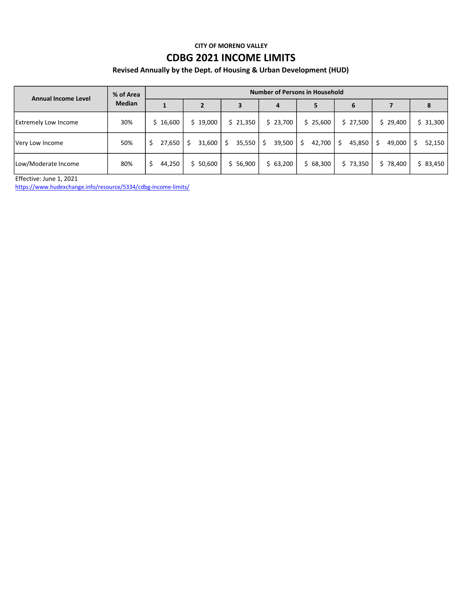### CITY OF MORENO VALLEY

## CDBG 2021 INCOME LIMITS

## Revised Annually by the Dept. of Housing & Urban Development (HUD)

| Annual Income Level         | % of Area<br><b>Median</b> | <b>Number of Persons in Household</b> |             |          |             |              |              |              |             |  |  |  |  |  |  |  |
|-----------------------------|----------------------------|---------------------------------------|-------------|----------|-------------|--------------|--------------|--------------|-------------|--|--|--|--|--|--|--|
|                             |                            |                                       |             | 3        | 4           | 5            | 6            |              | 8           |  |  |  |  |  |  |  |
| <b>Extremely Low Income</b> | 30%                        | \$16,600                              | \$19,000    | \$21,350 | \$23,700    | \$25,600     | \$27,500     | 29,400<br>S. | \$31,300    |  |  |  |  |  |  |  |
| Very Low Income             | 50%                        | 27,650<br>\$.                         | 31,600<br>S | 35,550   | 39,500<br>Ŝ | 42,700<br>S. | 45,850<br>Ś. | 49,000<br>S. | 52,150<br>Ś |  |  |  |  |  |  |  |
| Low/Moderate Income         | 80%                        | 44,250<br>S.                          | \$50,600    | \$56,900 | \$63,200    | \$68,300     | \$73,350     | \$78,400     | \$83,450    |  |  |  |  |  |  |  |

Effective: June 1, 2021

https://www.hudexchange.info/resource/5334/cdbg-income-limits/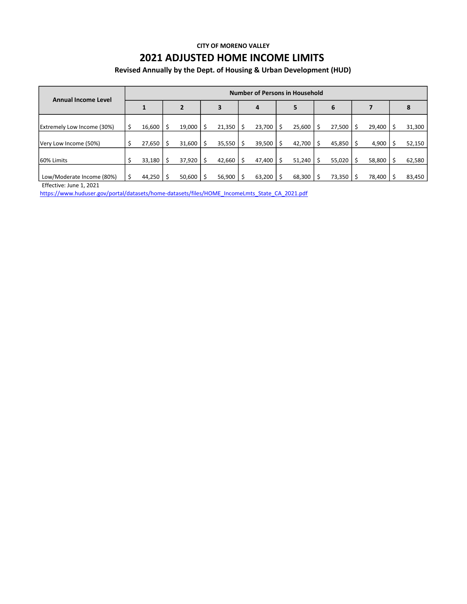#### CITY OF MORENO VALLEY

# 2021 ADJUSTED HOME INCOME LIMITS

## Revised Annually by the Dept. of Housing & Urban Development (HUD)

| <b>Annual Income Level</b>        |  | <b>Number of Persons in Household</b> |  |                |  |        |   |        |  |        |    |        |  |        |    |        |
|-----------------------------------|--|---------------------------------------|--|----------------|--|--------|---|--------|--|--------|----|--------|--|--------|----|--------|
|                                   |  | $\mathbf{1}$                          |  | $\overline{2}$ |  | 3      |   | 4      |  | 5      |    | 6      |  |        |    | 8      |
| <b>Extremely Low Income (30%)</b> |  | 16,600                                |  | 19,000         |  | 21,350 | Ŝ | 23,700 |  | 25,600 | Ŝ. | 27,500 |  | 29,400 |    | 31,300 |
| Very Low Income (50%)             |  | 27,650                                |  | 31,600         |  | 35,550 | Ŝ | 39,500 |  | 42,700 | Ŝ. | 45,850 |  | 4,900  | .s | 52,150 |
| 160% Limits                       |  | $33,180$   \$                         |  | 37,920         |  | 42,660 | Ś | 47,400 |  | 51,240 | Ŝ. | 55,020 |  | 58,800 | Ŝ. | 62,580 |
| Low/Moderate Income (80%)         |  | $44,250$   \$                         |  | 50,600         |  | 56,900 |   | 63,200 |  | 68,300 |    | 73,350 |  | 78,400 |    | 83,450 |

Effective: June 1, 2021

https://www.huduser.gov/portal/datasets/home-datasets/files/HOME\_IncomeLmts\_State\_CA\_2021.pdf